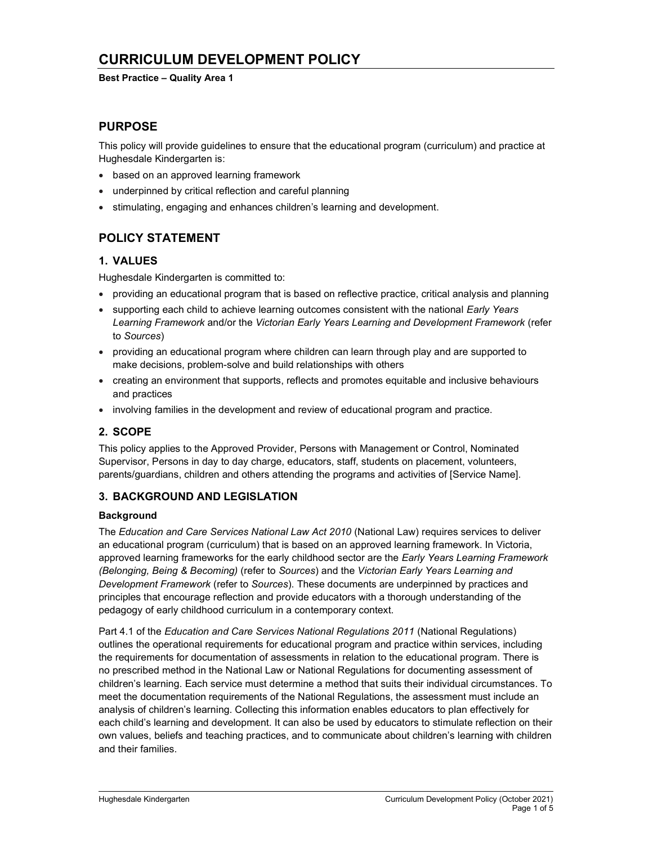# CURRICULUM DEVELOPMENT POLICY

#### Best Practice – Quality Area 1

# PURPOSE

This policy will provide guidelines to ensure that the educational program (curriculum) and practice at Hughesdale Kindergarten is:

- based on an approved learning framework
- underpinned by critical reflection and careful planning
- stimulating, engaging and enhances children's learning and development.

# POLICY STATEMENT

# 1. VALUES

Hughesdale Kindergarten is committed to:

- providing an educational program that is based on reflective practice, critical analysis and planning
- supporting each child to achieve learning outcomes consistent with the national Early Years Learning Framework and/or the Victorian Early Years Learning and Development Framework (refer to Sources)
- providing an educational program where children can learn through play and are supported to make decisions, problem-solve and build relationships with others
- creating an environment that supports, reflects and promotes equitable and inclusive behaviours and practices
- involving families in the development and review of educational program and practice.

# 2. SCOPE

This policy applies to the Approved Provider, Persons with Management or Control, Nominated Supervisor, Persons in day to day charge, educators, staff, students on placement, volunteers, parents/guardians, children and others attending the programs and activities of [Service Name].

### 3. BACKGROUND AND LEGISLATION

#### **Background**

The Education and Care Services National Law Act 2010 (National Law) requires services to deliver an educational program (curriculum) that is based on an approved learning framework. In Victoria, approved learning frameworks for the early childhood sector are the Early Years Learning Framework (Belonging, Being & Becoming) (refer to Sources) and the Victorian Early Years Learning and Development Framework (refer to Sources). These documents are underpinned by practices and principles that encourage reflection and provide educators with a thorough understanding of the pedagogy of early childhood curriculum in a contemporary context.

Part 4.1 of the Education and Care Services National Regulations 2011 (National Regulations) outlines the operational requirements for educational program and practice within services, including the requirements for documentation of assessments in relation to the educational program. There is no prescribed method in the National Law or National Regulations for documenting assessment of children's learning. Each service must determine a method that suits their individual circumstances. To meet the documentation requirements of the National Regulations, the assessment must include an analysis of children's learning. Collecting this information enables educators to plan effectively for each child's learning and development. It can also be used by educators to stimulate reflection on their own values, beliefs and teaching practices, and to communicate about children's learning with children and their families.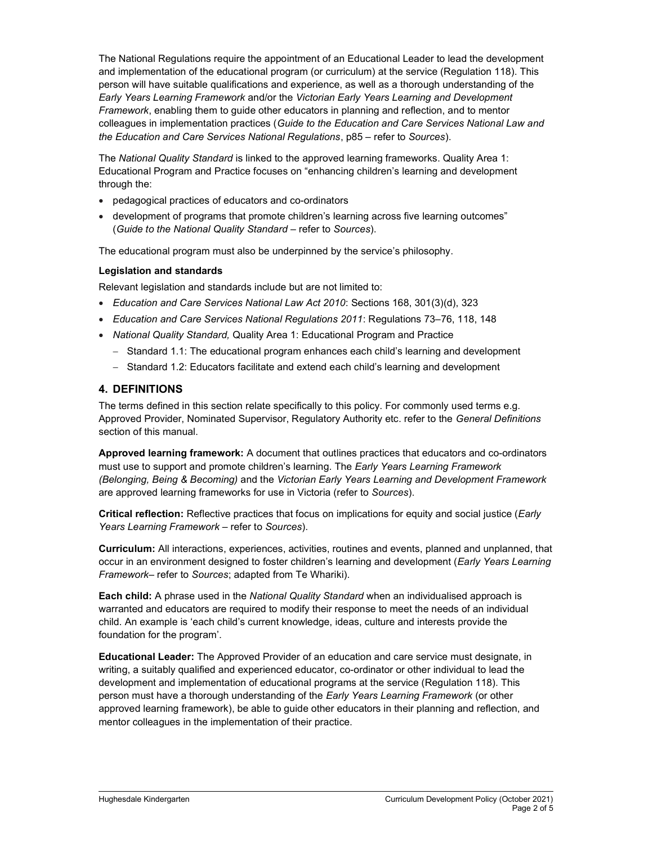The National Regulations require the appointment of an Educational Leader to lead the development and implementation of the educational program (or curriculum) at the service (Regulation 118). This person will have suitable qualifications and experience, as well as a thorough understanding of the Early Years Learning Framework and/or the Victorian Early Years Learning and Development Framework, enabling them to guide other educators in planning and reflection, and to mentor colleagues in implementation practices (Guide to the Education and Care Services National Law and the Education and Care Services National Regulations, p85 – refer to Sources).

The National Quality Standard is linked to the approved learning frameworks. Quality Area 1: Educational Program and Practice focuses on "enhancing children's learning and development through the:

- pedagogical practices of educators and co-ordinators
- development of programs that promote children's learning across five learning outcomes" (Guide to the National Quality Standard – refer to Sources).

The educational program must also be underpinned by the service's philosophy.

### Legislation and standards

Relevant legislation and standards include but are not limited to:

- Education and Care Services National Law Act 2010: Sections 168, 301(3)(d), 323
- Education and Care Services National Regulations 2011: Regulations 73–76, 118, 148
- National Quality Standard, Quality Area 1: Educational Program and Practice
	- $-$  Standard 1.1: The educational program enhances each child's learning and development
	- Standard 1.2: Educators facilitate and extend each child's learning and development

### 4. DEFINITIONS

The terms defined in this section relate specifically to this policy. For commonly used terms e.g. Approved Provider, Nominated Supervisor, Regulatory Authority etc. refer to the General Definitions section of this manual.

Approved learning framework: A document that outlines practices that educators and co-ordinators must use to support and promote children's learning. The Early Years Learning Framework (Belonging, Being & Becoming) and the Victorian Early Years Learning and Development Framework are approved learning frameworks for use in Victoria (refer to Sources).

Critical reflection: Reflective practices that focus on implications for equity and social justice (Early Years Learning Framework - refer to Sources).

Curriculum: All interactions, experiences, activities, routines and events, planned and unplanned, that occur in an environment designed to foster children's learning and development (Early Years Learning Framework– refer to Sources; adapted from Te Whariki).

Each child: A phrase used in the National Quality Standard when an individualised approach is warranted and educators are required to modify their response to meet the needs of an individual child. An example is 'each child's current knowledge, ideas, culture and interests provide the foundation for the program'.

Educational Leader: The Approved Provider of an education and care service must designate, in writing, a suitably qualified and experienced educator, co-ordinator or other individual to lead the development and implementation of educational programs at the service (Regulation 118). This person must have a thorough understanding of the Early Years Learning Framework (or other approved learning framework), be able to guide other educators in their planning and reflection, and mentor colleagues in the implementation of their practice.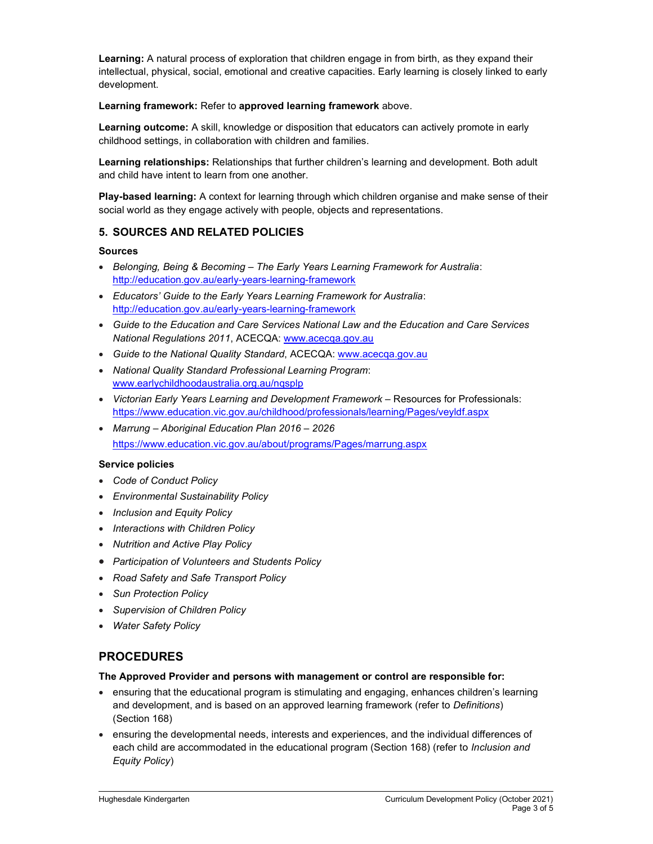Learning: A natural process of exploration that children engage in from birth, as they expand their intellectual, physical, social, emotional and creative capacities. Early learning is closely linked to early development.

Learning framework: Refer to approved learning framework above.

Learning outcome: A skill, knowledge or disposition that educators can actively promote in early childhood settings, in collaboration with children and families.

Learning relationships: Relationships that further children's learning and development. Both adult and child have intent to learn from one another.

Play-based learning: A context for learning through which children organise and make sense of their social world as they engage actively with people, objects and representations.

# 5. SOURCES AND RELATED POLICIES

#### Sources

- Belonging, Being & Becoming The Early Years Learning Framework for Australia: http://education.gov.au/early-years-learning-framework
- Educators' Guide to the Early Years Learning Framework for Australia: http://education.gov.au/early-years-learning-framework
- Guide to the Education and Care Services National Law and the Education and Care Services National Regulations 2011, ACECQA: www.acecqa.gov.au
- Guide to the National Quality Standard, ACECQA: www.acecqa.gov.au
- National Quality Standard Professional Learning Program: www.earlychildhoodaustralia.org.au/nqsplp
- Victorian Early Years Learning and Development Framework Resources for Professionals: https://www.education.vic.gov.au/childhood/professionals/learning/Pages/veyldf.aspx
- Marrung Aboriginal Education Plan 2016 2026 https://www.education.vic.gov.au/about/programs/Pages/marrung.aspx

#### Service policies

- Code of Conduct Policy
- Environmental Sustainability Policy
- Inclusion and Equity Policy
- Interactions with Children Policy
- Nutrition and Active Play Policy
- Participation of Volunteers and Students Policy
- Road Safety and Safe Transport Policy
- Sun Protection Policy
- Supervision of Children Policy
- Water Safety Policy

# PROCEDURES

#### The Approved Provider and persons with management or control are responsible for:

- ensuring that the educational program is stimulating and engaging, enhances children's learning and development, and is based on an approved learning framework (refer to Definitions) (Section 168)
- ensuring the developmental needs, interests and experiences, and the individual differences of each child are accommodated in the educational program (Section 168) (refer to *Inclusion and* Equity Policy)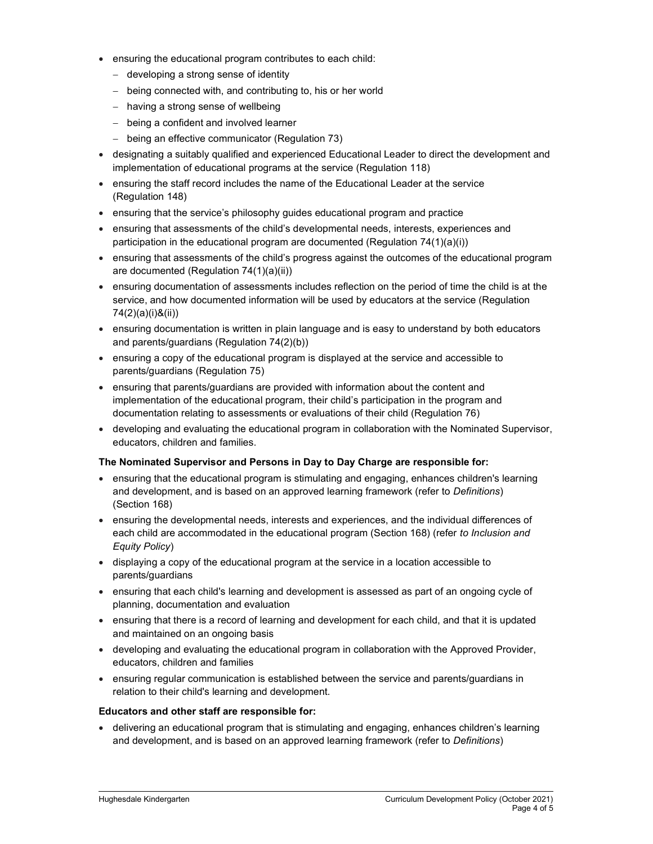- ensuring the educational program contributes to each child:
	- developing a strong sense of identity
	- being connected with, and contributing to, his or her world
	- having a strong sense of wellbeing
	- being a confident and involved learner
	- being an effective communicator (Regulation 73)
- designating a suitably qualified and experienced Educational Leader to direct the development and implementation of educational programs at the service (Regulation 118)
- ensuring the staff record includes the name of the Educational Leader at the service (Regulation 148)
- ensuring that the service's philosophy guides educational program and practice
- ensuring that assessments of the child's developmental needs, interests, experiences and participation in the educational program are documented (Regulation 74(1)(a)(i))
- ensuring that assessments of the child's progress against the outcomes of the educational program are documented (Regulation 74(1)(a)(ii))
- ensuring documentation of assessments includes reflection on the period of time the child is at the service, and how documented information will be used by educators at the service (Regulation 74(2)(a)(i)&(ii))
- ensuring documentation is written in plain language and is easy to understand by both educators and parents/guardians (Regulation 74(2)(b))
- ensuring a copy of the educational program is displayed at the service and accessible to parents/guardians (Regulation 75)
- ensuring that parents/guardians are provided with information about the content and implementation of the educational program, their child's participation in the program and documentation relating to assessments or evaluations of their child (Regulation 76)
- developing and evaluating the educational program in collaboration with the Nominated Supervisor, educators, children and families.

#### The Nominated Supervisor and Persons in Day to Day Charge are responsible for:

- ensuring that the educational program is stimulating and engaging, enhances children's learning and development, and is based on an approved learning framework (refer to Definitions) (Section 168)
- ensuring the developmental needs, interests and experiences, and the individual differences of each child are accommodated in the educational program (Section 168) (refer to Inclusion and Equity Policy)
- displaying a copy of the educational program at the service in a location accessible to parents/guardians
- ensuring that each child's learning and development is assessed as part of an ongoing cycle of planning, documentation and evaluation
- ensuring that there is a record of learning and development for each child, and that it is updated and maintained on an ongoing basis
- developing and evaluating the educational program in collaboration with the Approved Provider, educators, children and families
- ensuring regular communication is established between the service and parents/guardians in relation to their child's learning and development.

#### Educators and other staff are responsible for:

 delivering an educational program that is stimulating and engaging, enhances children's learning and development, and is based on an approved learning framework (refer to Definitions)